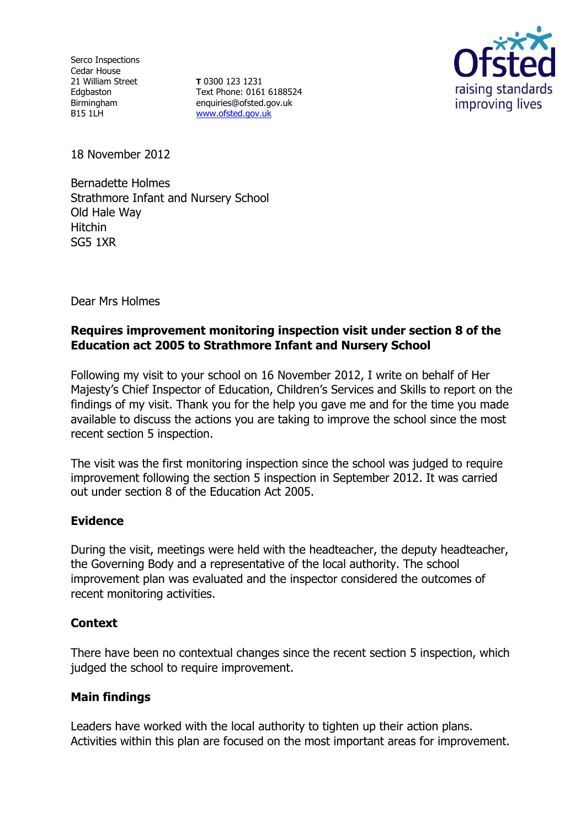Serco Inspections Cedar House 21 William Street Edgbaston Birmingham B15 1LH

**T** 0300 123 1231 Text Phone: 0161 6188524 enquiries@ofsted.gov.uk [www.ofsted.gov.uk](http://www.ofsted.gov.uk/)



18 November 2012

Bernadette Holmes Strathmore Infant and Nursery School Old Hale Way Hitchin SG5 1XR

Dear Mrs Holmes

# **Requires improvement monitoring inspection visit under section 8 of the Education act 2005 to Strathmore Infant and Nursery School**

Following my visit to your school on 16 November 2012, I write on behalf of Her Majesty's Chief Inspector of Education, Children's Services and Skills to report on the findings of my visit. Thank you for the help you gave me and for the time you made available to discuss the actions you are taking to improve the school since the most recent section 5 inspection.

The visit was the first monitoring inspection since the school was judged to require improvement following the section 5 inspection in September 2012. It was carried out under section 8 of the Education Act 2005.

# **Evidence**

During the visit, meetings were held with the headteacher, the deputy headteacher, the Governing Body and a representative of the local authority. The school improvement plan was evaluated and the inspector considered the outcomes of recent monitoring activities.

### **Context**

There have been no contextual changes since the recent section 5 inspection, which judged the school to require improvement.

# **Main findings**

Leaders have worked with the local authority to tighten up their action plans. Activities within this plan are focused on the most important areas for improvement.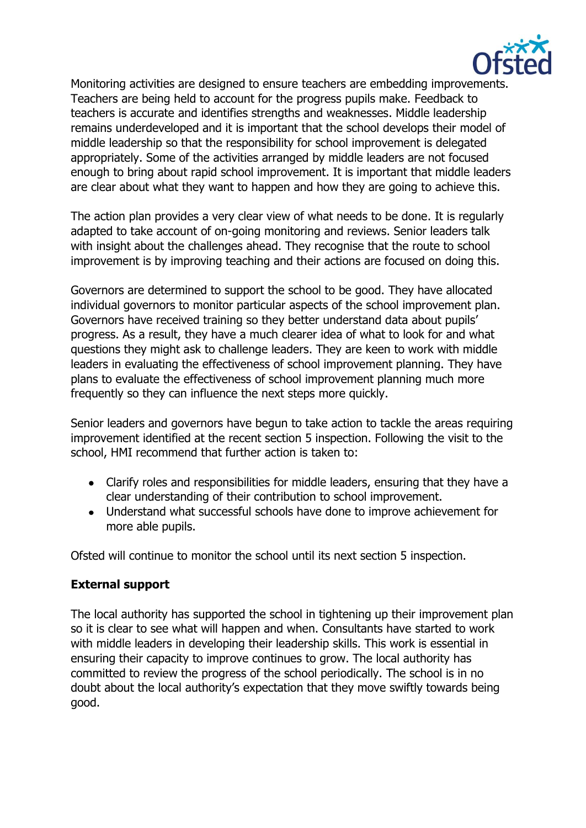

Monitoring activities are designed to ensure teachers are embedding improvements. Teachers are being held to account for the progress pupils make. Feedback to teachers is accurate and identifies strengths and weaknesses. Middle leadership remains underdeveloped and it is important that the school develops their model of middle leadership so that the responsibility for school improvement is delegated appropriately. Some of the activities arranged by middle leaders are not focused enough to bring about rapid school improvement. It is important that middle leaders are clear about what they want to happen and how they are going to achieve this.

The action plan provides a very clear view of what needs to be done. It is regularly adapted to take account of on-going monitoring and reviews. Senior leaders talk with insight about the challenges ahead. They recognise that the route to school improvement is by improving teaching and their actions are focused on doing this.

Governors are determined to support the school to be good. They have allocated individual governors to monitor particular aspects of the school improvement plan. Governors have received training so they better understand data about pupils' progress. As a result, they have a much clearer idea of what to look for and what questions they might ask to challenge leaders. They are keen to work with middle leaders in evaluating the effectiveness of school improvement planning. They have plans to evaluate the effectiveness of school improvement planning much more frequently so they can influence the next steps more quickly.

Senior leaders and governors have begun to take action to tackle the areas requiring improvement identified at the recent section 5 inspection. Following the visit to the school, HMI recommend that further action is taken to:

- Clarify roles and responsibilities for middle leaders, ensuring that they have a clear understanding of their contribution to school improvement.
- Understand what successful schools have done to improve achievement for more able pupils.

Ofsted will continue to monitor the school until its next section 5 inspection.

# **External support**

The local authority has supported the school in tightening up their improvement plan so it is clear to see what will happen and when. Consultants have started to work with middle leaders in developing their leadership skills. This work is essential in ensuring their capacity to improve continues to grow. The local authority has committed to review the progress of the school periodically. The school is in no doubt about the local authority's expectation that they move swiftly towards being good.